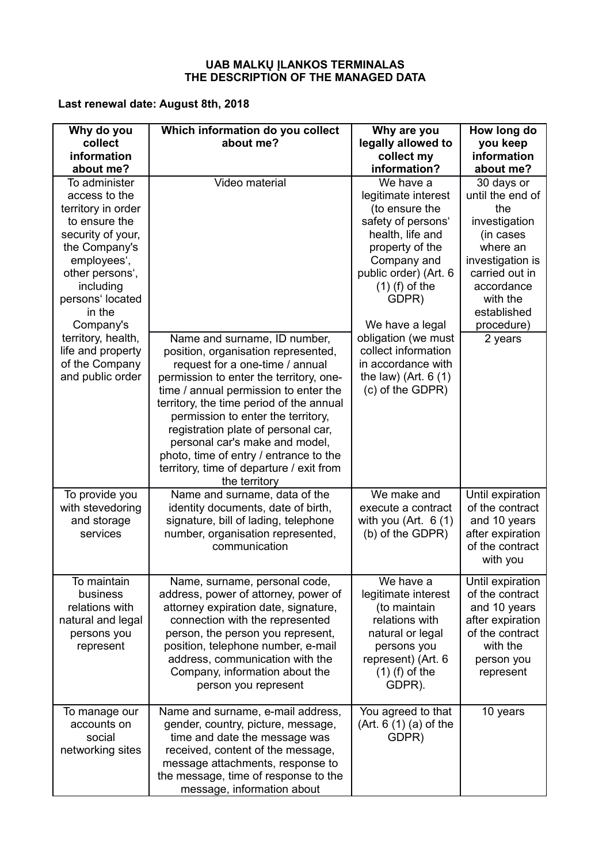## **UAB MALKŲ ĮLANKOS TERMINALAS THE DESCRIPTION OF THE MANAGED DATA**

## **Last renewal date: August 8th, 2018**

| Why do you<br>collect<br>information                                                                                                                                                                               | Which information do you collect<br>about me?                                                                                                                                                                                                                                                                                                                                                                                                                | Why are you<br>legally allowed to<br>collect my                                                                                                                                                                         | How long do<br>you keep<br>information                                                                                                                                                    |
|--------------------------------------------------------------------------------------------------------------------------------------------------------------------------------------------------------------------|--------------------------------------------------------------------------------------------------------------------------------------------------------------------------------------------------------------------------------------------------------------------------------------------------------------------------------------------------------------------------------------------------------------------------------------------------------------|-------------------------------------------------------------------------------------------------------------------------------------------------------------------------------------------------------------------------|-------------------------------------------------------------------------------------------------------------------------------------------------------------------------------------------|
| about me?<br>To administer<br>access to the<br>territory in order<br>to ensure the<br>security of your,<br>the Company's<br>employees',<br>other persons',<br>including<br>persons' located<br>in the<br>Company's | Video material                                                                                                                                                                                                                                                                                                                                                                                                                                               | information?<br>We have a<br>legitimate interest<br>(to ensure the<br>safety of persons'<br>health, life and<br>property of the<br>Company and<br>public order) (Art. 6<br>$(1)$ (f) of the<br>GDPR)<br>We have a legal | about me?<br>30 days or<br>until the end of<br>the<br>investigation<br>(in cases<br>where an<br>investigation is<br>carried out in<br>accordance<br>with the<br>established<br>procedure) |
| territory, health,<br>life and property<br>of the Company<br>and public order                                                                                                                                      | Name and surname, ID number,<br>position, organisation represented,<br>request for a one-time / annual<br>permission to enter the territory, one-<br>time / annual permission to enter the<br>territory, the time period of the annual<br>permission to enter the territory,<br>registration plate of personal car,<br>personal car's make and model,<br>photo, time of entry / entrance to the<br>territory, time of departure / exit from<br>the territory | obligation (we must<br>collect information<br>in accordance with<br>the law) (Art. $6(1)$<br>(c) of the GDPR)                                                                                                           | 2 years                                                                                                                                                                                   |
| To provide you<br>with stevedoring<br>and storage<br>services                                                                                                                                                      | Name and surname, data of the<br>identity documents, date of birth,<br>signature, bill of lading, telephone<br>number, organisation represented,<br>communication                                                                                                                                                                                                                                                                                            | We make and<br>execute a contract<br>with you (Art. $6(1)$<br>(b) of the GDPR)                                                                                                                                          | Until expiration<br>of the contract<br>and 10 years<br>after expiration<br>of the contract<br>with you                                                                                    |
| To maintain<br>business<br>relations with<br>natural and legal<br>persons you<br>represent                                                                                                                         | Name, surname, personal code,<br>address, power of attorney, power of<br>attorney expiration date, signature,<br>connection with the represented<br>person, the person you represent,<br>position, telephone number, e-mail<br>address, communication with the<br>Company, information about the<br>person you represent                                                                                                                                     | We have a<br>legitimate interest<br>(to maintain<br>relations with<br>natural or legal<br>persons you<br>represent) (Art. 6<br>$(1)$ (f) of the<br>GDPR).                                                               | Until expiration<br>of the contract<br>and 10 years<br>after expiration<br>of the contract<br>with the<br>person you<br>represent                                                         |
| To manage our<br>accounts on<br>social<br>networking sites                                                                                                                                                         | Name and surname, e-mail address,<br>gender, country, picture, message,<br>time and date the message was<br>received, content of the message,<br>message attachments, response to<br>the message, time of response to the<br>message, information about                                                                                                                                                                                                      | You agreed to that<br>(Art. 6 (1) (a) of the)<br>GDPR)                                                                                                                                                                  | 10 years                                                                                                                                                                                  |